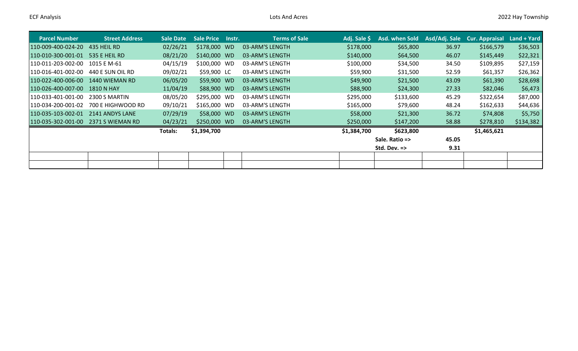| <b>Parcel Number</b> | <b>Street Address</b> | Sale Date | <b>Sale Price</b> | lnstr. | <b>Terms of Sale</b> | Adj. Sale \$ | Asd. when Sold          | Asd/Adj. Sale | Cur. Appraisal | Land + Yard |
|----------------------|-----------------------|-----------|-------------------|--------|----------------------|--------------|-------------------------|---------------|----------------|-------------|
| 110-009-400-024-20   | 435 HEIL RD           | 02/26/21  | \$178,000 WD      |        | 03-ARM'S LENGTH      | \$178,000    | \$65,800                | 36.97         | \$166,579      | \$36,503    |
| 110-010-300-001-01   | 535 E HEIL RD         | 08/21/20  | \$140,000 WD      |        | 03-ARM'S LENGTH      | \$140,000    | \$64,500                | 46.07         | \$145,449      | \$22,321    |
| 110-011-203-002-00   | 1015 E M-61           | 04/15/19  | \$100,000 WD      |        | 03-ARM'S LENGTH      | \$100,000    | \$34,500                | 34.50         | \$109,895      | \$27,159    |
| 110-016-401-002-00   | 440 E SUN OIL RD      | 09/02/21  | \$59,900 LC       |        | 03-ARM'S LENGTH      | \$59,900     | \$31,500                | 52.59         | \$61,357       | \$26,362    |
| 110-022-400-006-00   | 1440 WIEMAN RD        | 06/05/20  | \$59,900 WD       |        | 03-ARM'S LENGTH      | \$49,900     | \$21,500                | 43.09         | \$61,390       | \$28,698    |
| 110-026-400-007-00   | <b>1810 N HAY</b>     | 11/04/19  | \$88,900 WD       |        | 03-ARM'S LENGTH      | \$88,900     | \$24,300                | 27.33         | \$82,046       | \$6,473     |
| 1110-033-401-001-00  | 2300 S MARTIN         | 08/05/20  | \$295,000 WD      |        | 03-ARM'S LENGTH      | \$295,000    | \$133,600               | 45.29         | \$322,654      | \$87,000    |
| 110-034-200-001-02   | 700 E HIGHWOOD RD     | 09/10/21  | \$165,000 WD      |        | 03-ARM'S LENGTH      | \$165,000    | \$79,600                | 48.24         | \$162,633      | \$44,636    |
| 110-035-103-002-01   | 2141 ANDYS LANE       | 07/29/19  | \$58,000 WD       |        | 03-ARM'S LENGTH      | \$58,000     | \$21,300                | 36.72         | \$74,808       | \$5,750     |
| 110-035-302-001-00   | 2371 S WIEMAN RD      | 04/23/21  | \$250,000 WD      |        | 03-ARM'S LENGTH      | \$250,000    | \$147,200               | 58.88         | \$278,810      | \$134,382   |
|                      |                       | Totals:   | \$1,394,700       |        |                      | \$1,384,700  | \$623,800               |               | \$1,465,621    |             |
|                      |                       |           |                   |        |                      |              | Sale. Ratio =>          | 45.05         |                |             |
|                      |                       |           |                   |        |                      |              | Std. Dev. $\Rightarrow$ | 9.31          |                |             |
|                      |                       |           |                   |        |                      |              |                         |               |                |             |
|                      |                       |           |                   |        |                      |              |                         |               |                |             |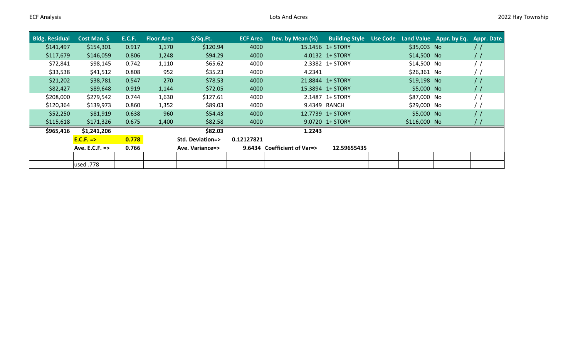| <b>Bldg. Residual</b> | Cost Man. \$   | <b>E.C.F.</b> | <b>Floor Area</b> | $$$ /Sq.Ft.                | <b>ECF Area</b> | Dev. by Mean (%)            | <b>Building Style</b> | Use Code |              | Land Value Appr. by Eq. | Appr. Date       |
|-----------------------|----------------|---------------|-------------------|----------------------------|-----------------|-----------------------------|-----------------------|----------|--------------|-------------------------|------------------|
| \$141,497             | \$154,301      | 0.917         | 1,170             | \$120.94                   | 4000            |                             | 15.1456 1+ STORY      |          | \$35,003 No  |                         | $\prime$         |
| \$117,679             | \$146,059      | 0.806         | 1,248             | \$94.29                    | 4000            |                             | 4.0132 1+ STORY       |          | \$14,500 No  |                         | $\frac{1}{2}$    |
| \$72,841              | \$98,145       | 0.742         | 1,110             | \$65.62                    | 4000            |                             | 2.3382 1+ STORY       |          | \$14,500 No  |                         |                  |
| \$33,538              | \$41,512       | 0.808         | 952               | \$35.23                    | 4000            | 4.2341                      |                       |          | \$26,361 No  |                         |                  |
| \$21,202              | \$38,781       | 0.547         | 270               | \$78.53                    | 4000            |                             | 21.8844 1+ STORY      |          | \$19,198 No  |                         | $\left  \right $ |
| \$82,427              | \$89,648       | 0.919         | 1,144             | \$72.05                    | 4000            |                             | 15.3894 1+ STORY      |          | \$5,000 No   |                         | $\prime$         |
| \$208,000             | \$279,542      | 0.744         | 1,630             | \$127.61                   | 4000            |                             | 2.1487 1+ STORY       |          | \$87,000 No  |                         |                  |
| \$120,364             | \$139,973      | 0.860         | 1,352             | \$89.03                    | 4000            |                             | 9.4349 RANCH          |          | \$29,000 No  |                         |                  |
| \$52,250              | \$81,919       | 0.638         | 960               | \$54.43                    | 4000            |                             | 12.7739 1+ STORY      |          | \$5,000 No   |                         | $\left  \right $ |
| \$115,618             | \$171,326      | 0.675         | 1,400             | \$82.58                    | 4000            |                             | 9.0720 1+ STORY       |          | \$116,000 No |                         |                  |
| \$965,416             | \$1,241,206    |               |                   | \$82.03                    |                 | 1.2243                      |                       |          |              |                         |                  |
|                       | $E.C.F. =>$    | 0.778         |                   | <b>Std. Deviation=&gt;</b> | 0.12127821      |                             |                       |          |              |                         |                  |
|                       | Ave. E.C.F. => | 0.766         |                   | Ave. Variance=>            |                 | 9.6434 Coefficient of Var=> | 12.59655435           |          |              |                         |                  |
|                       |                |               |                   |                            |                 |                             |                       |          |              |                         |                  |
|                       | used .778      |               |                   |                            |                 |                             |                       |          |              |                         |                  |